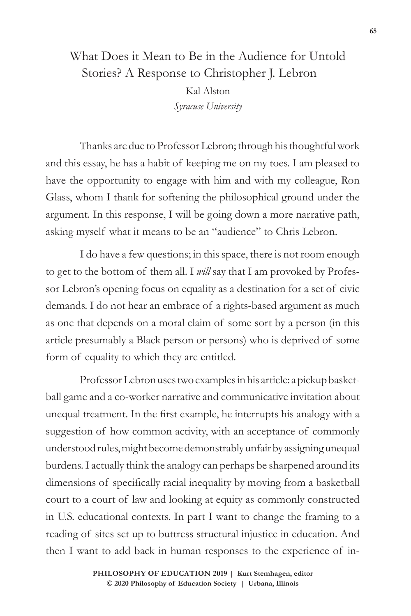## What Does it Mean to Be in the Audience for Untold Stories? A Response to Christopher J. Lebron Kal Alston *Syracuse University*

Thanks are due to Professor Lebron; through his thoughtful work and this essay, he has a habit of keeping me on my toes. I am pleased to have the opportunity to engage with him and with my colleague, Ron Glass, whom I thank for softening the philosophical ground under the argument. In this response, I will be going down a more narrative path, asking myself what it means to be an "audience" to Chris Lebron.

I do have a few questions; in this space, there is not room enough to get to the bottom of them all. I *will* say that I am provoked by Professor Lebron's opening focus on equality as a destination for a set of civic demands. I do not hear an embrace of a rights-based argument as much as one that depends on a moral claim of some sort by a person (in this article presumably a Black person or persons) who is deprived of some form of equality to which they are entitled.

Professor Lebron uses two examples in his article: a pickup basketball game and a co-worker narrative and communicative invitation about unequal treatment. In the first example, he interrupts his analogy with a suggestion of how common activity, with an acceptance of commonly understood rules, might become demonstrably unfair by assigning unequal burdens. I actually think the analogy can perhaps be sharpened around its dimensions of specifically racial inequality by moving from a basketball court to a court of law and looking at equity as commonly constructed in U.S. educational contexts. In part I want to change the framing to a reading of sites set up to buttress structural injustice in education. And then I want to add back in human responses to the experience of in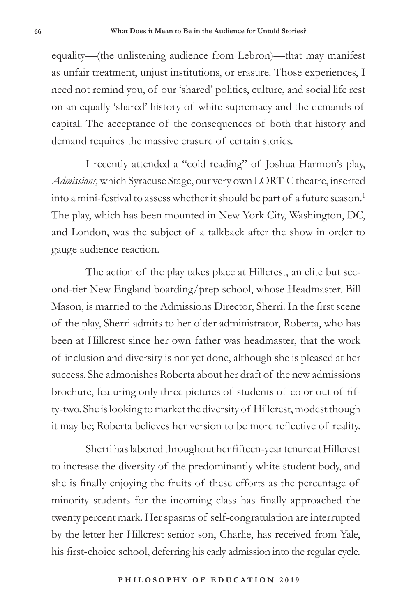equality—(the unlistening audience from Lebron)—that may manifest as unfair treatment, unjust institutions, or erasure. Those experiences, I need not remind you, of our 'shared' politics, culture, and social life rest on an equally 'shared' history of white supremacy and the demands of capital. The acceptance of the consequences of both that history and demand requires the massive erasure of certain stories.

I recently attended a "cold reading" of Joshua Harmon's play, *Admissions,* which Syracuse Stage, our very own LORT-C theatre, inserted into a mini-festival to assess whether it should be part of a future season.<sup>1</sup> The play, which has been mounted in New York City, Washington, DC, and London, was the subject of a talkback after the show in order to gauge audience reaction.

The action of the play takes place at Hillcrest, an elite but second-tier New England boarding/prep school, whose Headmaster, Bill Mason, is married to the Admissions Director, Sherri. In the first scene of the play, Sherri admits to her older administrator, Roberta, who has been at Hillcrest since her own father was headmaster, that the work of inclusion and diversity is not yet done, although she is pleased at her success. She admonishes Roberta about her draft of the new admissions brochure, featuring only three pictures of students of color out of fifty-two. She is looking to market the diversity of Hillcrest, modest though it may be; Roberta believes her version to be more reflective of reality.

Sherri has labored throughout her fifteen-year tenure at Hillcrest to increase the diversity of the predominantly white student body, and she is finally enjoying the fruits of these efforts as the percentage of minority students for the incoming class has finally approached the twenty percent mark. Her spasms of self-congratulation are interrupted by the letter her Hillcrest senior son, Charlie, has received from Yale, his first-choice school, deferring his early admission into the regular cycle.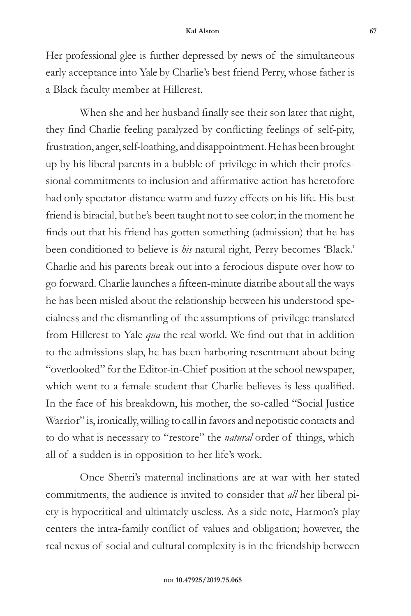Her professional glee is further depressed by news of the simultaneous early acceptance into Yale by Charlie's best friend Perry, whose father is a Black faculty member at Hillcrest.

When she and her husband finally see their son later that night, they find Charlie feeling paralyzed by conflicting feelings of self-pity, frustration, anger, self-loathing, and disappointment. He has been brought up by his liberal parents in a bubble of privilege in which their professional commitments to inclusion and affirmative action has heretofore had only spectator-distance warm and fuzzy effects on his life. His best friend is biracial, but he's been taught not to see color; in the moment he finds out that his friend has gotten something (admission) that he has been conditioned to believe is *his* natural right, Perry becomes 'Black.' Charlie and his parents break out into a ferocious dispute over how to go forward. Charlie launches a fifteen-minute diatribe about all the ways he has been misled about the relationship between his understood specialness and the dismantling of the assumptions of privilege translated from Hillcrest to Yale *qua* the real world. We find out that in addition to the admissions slap, he has been harboring resentment about being "overlooked" for the Editor-in-Chief position at the school newspaper, which went to a female student that Charlie believes is less qualified. In the face of his breakdown, his mother, the so-called "Social Justice Warrior" is, ironically, willing to call in favors and nepotistic contacts and to do what is necessary to "restore" the *natural* order of things, which all of a sudden is in opposition to her life's work.

Once Sherri's maternal inclinations are at war with her stated commitments, the audience is invited to consider that *all* her liberal piety is hypocritical and ultimately useless. As a side note, Harmon's play centers the intra-family conflict of values and obligation; however, the real nexus of social and cultural complexity is in the friendship between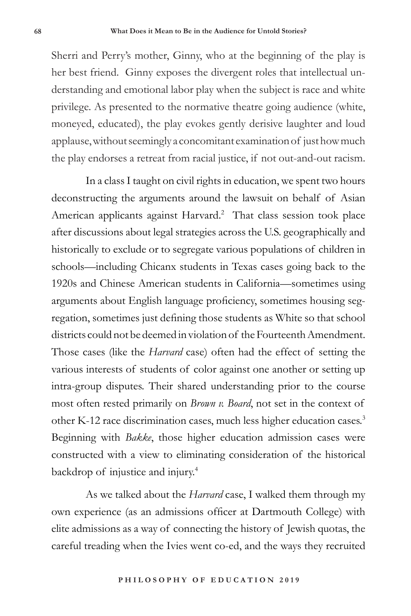Sherri and Perry's mother, Ginny, who at the beginning of the play is her best friend. Ginny exposes the divergent roles that intellectual understanding and emotional labor play when the subject is race and white privilege. As presented to the normative theatre going audience (white, moneyed, educated), the play evokes gently derisive laughter and loud applause, without seemingly a concomitant examination of just how much the play endorses a retreat from racial justice, if not out-and-out racism.

In a class I taught on civil rights in education, we spent two hours deconstructing the arguments around the lawsuit on behalf of Asian American applicants against Harvard.<sup>2</sup> That class session took place after discussions about legal strategies across the U.S. geographically and historically to exclude or to segregate various populations of children in schools—including Chicanx students in Texas cases going back to the 1920s and Chinese American students in California—sometimes using arguments about English language proficiency, sometimes housing segregation, sometimes just defining those students as White so that school districts could not be deemed in violation of the Fourteenth Amendment. Those cases (like the *Harvard* case) often had the effect of setting the various interests of students of color against one another or setting up intra-group disputes. Their shared understanding prior to the course most often rested primarily on *Brown v. Board*, not set in the context of other K-12 race discrimination cases, much less higher education cases.3 Beginning with *Bakke*, those higher education admission cases were constructed with a view to eliminating consideration of the historical backdrop of injustice and injury.4

As we talked about the *Harvard* case, I walked them through my own experience (as an admissions officer at Dartmouth College) with elite admissions as a way of connecting the history of Jewish quotas, the careful treading when the Ivies went co-ed, and the ways they recruited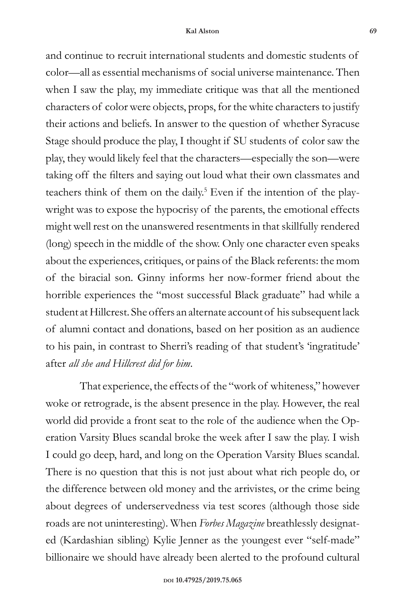## **Kal Alston 69**

and continue to recruit international students and domestic students of color—all as essential mechanisms of social universe maintenance. Then when I saw the play, my immediate critique was that all the mentioned characters of color were objects, props, for the white characters to justify their actions and beliefs. In answer to the question of whether Syracuse Stage should produce the play, I thought if SU students of color saw the play, they would likely feel that the characters—especially the son—were taking off the filters and saying out loud what their own classmates and teachers think of them on the daily.<sup>5</sup> Even if the intention of the playwright was to expose the hypocrisy of the parents, the emotional effects might well rest on the unanswered resentments in that skillfully rendered (long) speech in the middle of the show. Only one character even speaks about the experiences, critiques, or pains of the Black referents: the mom of the biracial son. Ginny informs her now-former friend about the horrible experiences the "most successful Black graduate" had while a student at Hillcrest. She offers an alternate account of his subsequent lack of alumni contact and donations, based on her position as an audience to his pain, in contrast to Sherri's reading of that student's 'ingratitude' after *all she and Hillcrest did for him*.

That experience, the effects of the "work of whiteness," however woke or retrograde, is the absent presence in the play. However, the real world did provide a front seat to the role of the audience when the Operation Varsity Blues scandal broke the week after I saw the play. I wish I could go deep, hard, and long on the Operation Varsity Blues scandal. There is no question that this is not just about what rich people do, or the difference between old money and the arrivistes, or the crime being about degrees of underservedness via test scores (although those side roads are not uninteresting). When *Forbes Magazine* breathlessly designated (Kardashian sibling) Kylie Jenner as the youngest ever "self-made" billionaire we should have already been alerted to the profound cultural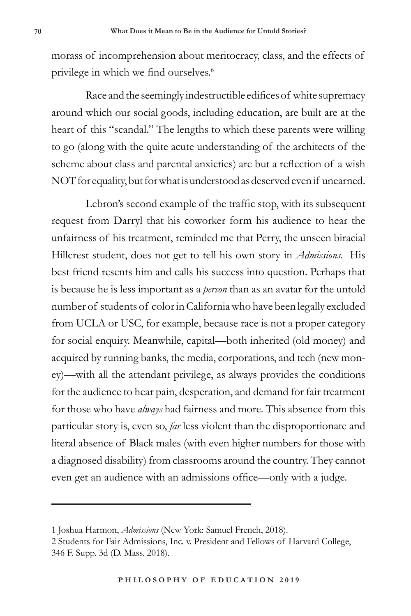morass of incomprehension about meritocracy, class, and the effects of privilege in which we find ourselves.<sup>6</sup>

Race and the seemingly indestructible edifices of white supremacy around which our social goods, including education, are built are at the heart of this "scandal." The lengths to which these parents were willing to go (along with the quite acute understanding of the architects of the scheme about class and parental anxieties) are but a reflection of a wish NOT for equality, but for what is understood as deserved even if unearned.

Lebron's second example of the traffic stop, with its subsequent request from Darryl that his coworker form his audience to hear the unfairness of his treatment, reminded me that Perry, the unseen biracial Hillcrest student, does not get to tell his own story in *Admissions*. His best friend resents him and calls his success into question. Perhaps that is because he is less important as a *person* than as an avatar for the untold number of students of color in California who have been legally excluded from UCLA or USC, for example, because race is not a proper category for social enquiry. Meanwhile, capital—both inherited (old money) and acquired by running banks, the media, corporations, and tech (new money)—with all the attendant privilege, as always provides the conditions for the audience to hear pain, desperation, and demand for fair treatment for those who have *always* had fairness and more. This absence from this particular story is, even so, *far* less violent than the disproportionate and literal absence of Black males (with even higher numbers for those with a diagnosed disability) from classrooms around the country. They cannot even get an audience with an admissions office—only with a judge.

<sup>1</sup> Joshua Harmon, *Admissions* (New York: Samuel French, 2018).

<sup>2</sup> Students for Fair Admissions, Inc. v. President and Fellows of Harvard College, 346 F. Supp. 3d (D. Mass. 2018).